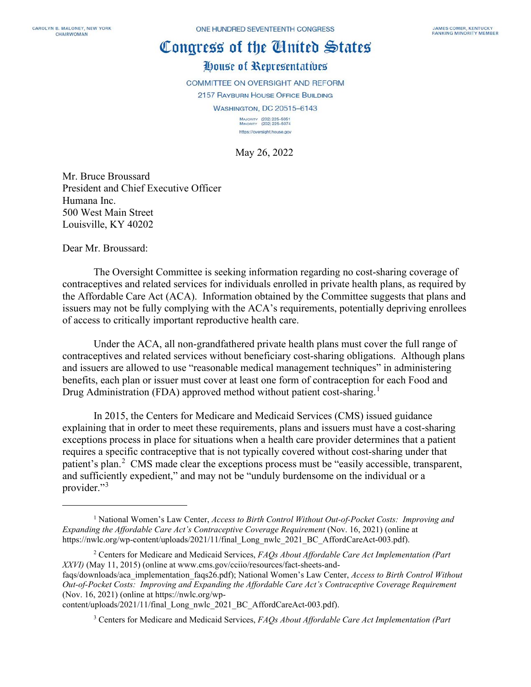## Congress of the Cinited States

## House of Representatives

COMMITTEE ON OVERSIGHT AND REFORM

2157 RAYBURN HOUSE OFFICE BUILDING

**WASHINGTON, DC 20515-6143** 

MAJORITY (202) 225-5051<br>MINORITY (202) 225-5074 https://oversight.house.gov

May 26, 2022

Mr. Bruce Broussard President and Chief Executive Officer Humana Inc. 500 West Main Street Louisville, KY 40202

Dear Mr. Broussard:

The Oversight Committee is seeking information regarding no cost-sharing coverage of contraceptives and related services for individuals enrolled in private health plans, as required by the Affordable Care Act (ACA). Information obtained by the Committee suggests that plans and issuers may not be fully complying with the ACA's requirements, potentially depriving enrollees of access to critically important reproductive health care.

Under the ACA, all non-grandfathered private health plans must cover the full range of contraceptives and related services without beneficiary cost-sharing obligations. Although plans and issuers are allowed to use "reasonable medical management techniques" in administering benefits, each plan or issuer must cover at least one form of contraception for each Food and Drug Administration (FDA) approved method without patient cost-sharing.<sup>[1](#page-0-0)</sup>

In 2015, the Centers for Medicare and Medicaid Services (CMS) issued guidance explaining that in order to meet these requirements, plans and issuers must have a cost-sharing exceptions process in place for situations when a health care provider determines that a patient requires a specific contraceptive that is not typically covered without cost-sharing under that patient's plan.<sup>[2](#page-0-1)</sup> CMS made clear the exceptions process must be "easily accessible, transparent, and sufficiently expedient," and may not be "unduly burdensome on the individual or a provider."<sup>[3](#page-0-2)</sup>

<span id="page-0-2"></span>content/uploads/2021/11/final\_Long\_nwlc\_2021\_BC\_AffordCareAct-003.pdf).

<sup>3</sup> Centers for Medicare and Medicaid Services, *FAQs About Affordable Care Act Implementation (Part* 

<span id="page-0-0"></span><sup>1</sup> National Women's Law Center, *Access to Birth Control Without Out-of-Pocket Costs: Improving and Expanding the Affordable Care Act's Contraceptive Coverage Requirement* (Nov. 16, 2021) (online at https://nwlc.org/wp-content/uploads/2021/11/final\_Long\_nwlc\_2021\_BC\_AffordCareAct-003.pdf).

<span id="page-0-1"></span><sup>2</sup> Centers for Medicare and Medicaid Services, *FAQs About Affordable Care Act Implementation (Part XXVI)* (May 11, 2015) (online at www.cms.gov/cciio/resources/fact-sheets-and-

faqs/downloads/aca\_implementation\_faqs26.pdf); National Women's Law Center, *Access to Birth Control Without Out-of-Pocket Costs: Improving and Expanding the Affordable Care Act's Contraceptive Coverage Requirement* (Nov. 16, 2021) (online at https://nwlc.org/wp-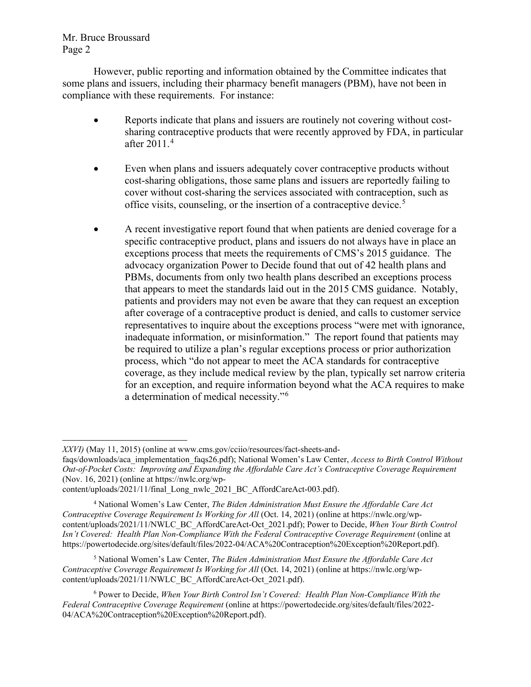Mr. Bruce Broussard Page 2

However, public reporting and information obtained by the Committee indicates that some plans and issuers, including their pharmacy benefit managers (PBM), have not been in compliance with these requirements. For instance:

- Reports indicate that plans and issuers are routinely not covering without costsharing contraceptive products that were recently approved by FDA, in particular after 2011.[4](#page-1-0)
- Even when plans and issuers adequately cover contraceptive products without cost-sharing obligations, those same plans and issuers are reportedly failing to cover without cost-sharing the services associated with contraception, such as office visits, counseling, or the insertion of a contraceptive device.<sup>[5](#page-1-1)</sup>
- A recent investigative report found that when patients are denied coverage for a specific contraceptive product, plans and issuers do not always have in place an exceptions process that meets the requirements of CMS's 2015 guidance. The advocacy organization Power to Decide found that out of 42 health plans and PBMs, documents from only two health plans described an exceptions process that appears to meet the standards laid out in the 2015 CMS guidance. Notably, patients and providers may not even be aware that they can request an exception after coverage of a contraceptive product is denied, and calls to customer service representatives to inquire about the exceptions process "were met with ignorance, inadequate information, or misinformation." The report found that patients may be required to utilize a plan's regular exceptions process or prior authorization process, which "do not appear to meet the ACA standards for contraceptive coverage, as they include medical review by the plan, typically set narrow criteria for an exception, and require information beyond what the ACA requires to make a determination of medical necessity."[6](#page-1-2)

<span id="page-1-1"></span><sup>5</sup> National Women's Law Center, *The Biden Administration Must Ensure the Affordable Care Act Contraceptive Coverage Requirement Is Working for All* (Oct. 14, 2021) (online at https://nwlc.org/wpcontent/uploads/2021/11/NWLC\_BC\_AffordCareAct-Oct\_2021.pdf).

*XXVI)* (May 11, 2015) (online at www.cms.gov/cciio/resources/fact-sheets-and-

faqs/downloads/aca\_implementation\_faqs26.pdf); National Women's Law Center, *Access to Birth Control Without Out-of-Pocket Costs: Improving and Expanding the Affordable Care Act's Contraceptive Coverage Requirement* (Nov. 16, 2021) (online at https://nwlc.org/wp-

content/uploads/2021/11/final\_Long\_nwlc\_2021\_BC\_AffordCareAct-003.pdf).

<span id="page-1-0"></span><sup>4</sup> National Women's Law Center, *The Biden Administration Must Ensure the Affordable Care Act Contraceptive Coverage Requirement Is Working for All* (Oct. 14, 2021) (online at https://nwlc.org/wpcontent/uploads/2021/11/NWLC\_BC\_AffordCareAct-Oct\_2021.pdf); Power to Decide, *When Your Birth Control Isn't Covered: Health Plan Non-Compliance With the Federal Contraceptive Coverage Requirement* (online at https://powertodecide.org/sites/default/files/2022-04/ACA%20Contraception%20Exception%20Report.pdf).

<span id="page-1-2"></span><sup>&</sup>lt;sup>6</sup> Power to Decide, *When Your Birth Control Isn't Covered: Health Plan Non-Compliance With the Federal Contraceptive Coverage Requirement* (online at https://powertodecide.org/sites/default/files/2022- 04/ACA%20Contraception%20Exception%20Report.pdf).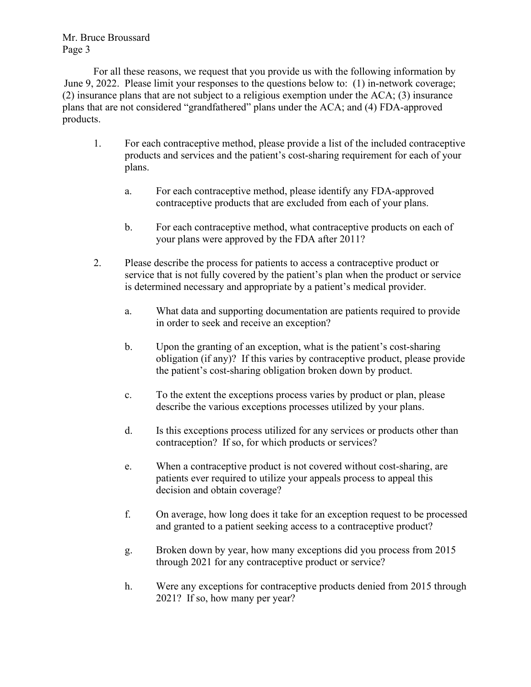Mr. Bruce Broussard Page 3

For all these reasons, we request that you provide us with the following information by June 9, 2022. Please limit your responses to the questions below to: (1) in-network coverage; (2) insurance plans that are not subject to a religious exemption under the ACA; (3) insurance plans that are not considered "grandfathered" plans under the ACA; and (4) FDA-approved products.

- 1. For each contraceptive method, please provide a list of the included contraceptive products and services and the patient's cost-sharing requirement for each of your plans.
	- a. For each contraceptive method, please identify any FDA-approved contraceptive products that are excluded from each of your plans.
	- b. For each contraceptive method, what contraceptive products on each of your plans were approved by the FDA after 2011?
- 2. Please describe the process for patients to access a contraceptive product or service that is not fully covered by the patient's plan when the product or service is determined necessary and appropriate by a patient's medical provider.
	- a. What data and supporting documentation are patients required to provide in order to seek and receive an exception?
	- b. Upon the granting of an exception, what is the patient's cost-sharing obligation (if any)? If this varies by contraceptive product, please provide the patient's cost-sharing obligation broken down by product.
	- c. To the extent the exceptions process varies by product or plan, please describe the various exceptions processes utilized by your plans.
	- d. Is this exceptions process utilized for any services or products other than contraception? If so, for which products or services?
	- e. When a contraceptive product is not covered without cost-sharing, are patients ever required to utilize your appeals process to appeal this decision and obtain coverage?
	- f. On average, how long does it take for an exception request to be processed and granted to a patient seeking access to a contraceptive product?
	- g. Broken down by year, how many exceptions did you process from 2015 through 2021 for any contraceptive product or service?
	- h. Were any exceptions for contraceptive products denied from 2015 through 2021? If so, how many per year?